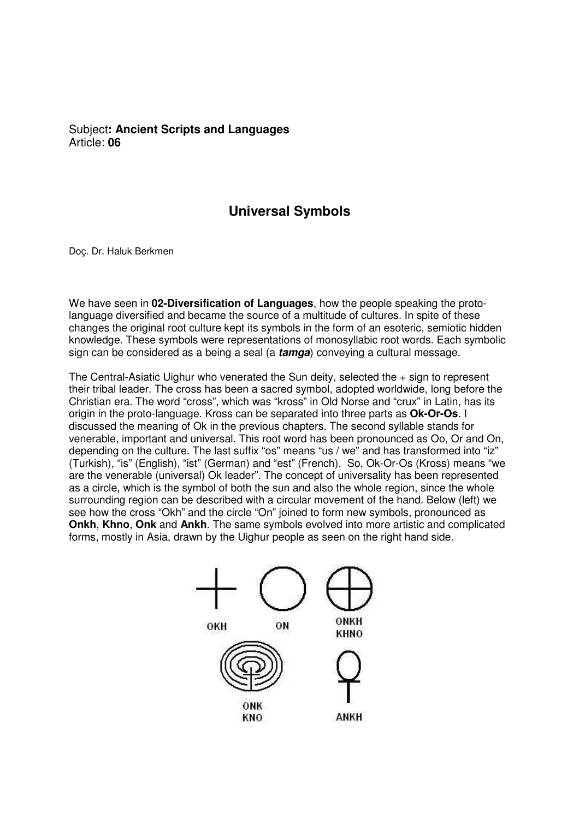## Subject**: Ancient Scripts and Languages**  Article: **06**

## **Universal Symbols**

Doç. Dr. Haluk Berkmen

We have seen in **02-Diversification of Languages**, how the people speaking the protolanguage diversified and became the source of a multitude of cultures. In spite of these changes the original root culture kept its symbols in the form of an esoteric, semiotic hidden knowledge. These symbols were representations of monosyllabic root words. Each symbolic sign can be considered as a being a seal (a **tamga**) conveying a cultural message.

The Central-Asiatic Uighur who venerated the Sun deity, selected the + sign to represent their tribal leader. The cross has been a sacred symbol, adopted worldwide, long before the Christian era. The word "cross", which was "kross" in Old Norse and "crux" in Latin, has its origin in the proto-language. Kross can be separated into three parts as **Ok-Or-Os**. I discussed the meaning of Ok in the previous chapters. The second syllable stands for venerable, important and universal. This root word has been pronounced as Oo, Or and On, depending on the culture. The last suffix "os" means "us / we" and has transformed into "iz" (Turkish), "is" (English), "ist" (German) and "est" (French). So, Ok-Or-Os (Kross) means "we are the venerable (universal) Ok leader". The concept of universality has been represented as a circle, which is the symbol of both the sun and also the whole region, since the whole surrounding region can be described with a circular movement of the hand. Below (left) we see how the cross "Okh" and the circle "On" joined to form new symbols, pronounced as **Onkh**, **Khno**, **Onk** and **Ankh**. The same symbols evolved into more artistic and complicated forms, mostly in Asia, drawn by the Uighur people as seen on the right hand side.

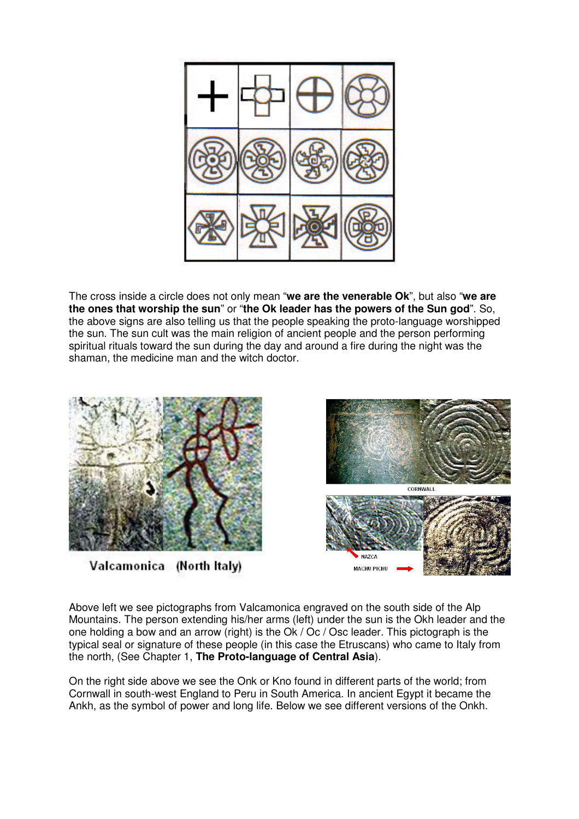

The cross inside a circle does not only mean "**we are the venerable Ok**", but also "**we are the ones that worship the sun**" or "**the Ok leader has the powers of the Sun god**". So, the above signs are also telling us that the people speaking the proto-language worshipped the sun. The sun cult was the main religion of ancient people and the person performing spiritual rituals toward the sun during the day and around a fire during the night was the shaman, the medicine man and the witch doctor.



Valcamonica (North Italy)



Above left we see pictographs from Valcamonica engraved on the south side of the Alp Mountains. The person extending his/her arms (left) under the sun is the Okh leader and the one holding a bow and an arrow (right) is the Ok / Oc / Osc leader. This pictograph is the typical seal or signature of these people (in this case the Etruscans) who came to Italy from the north, (See Chapter 1, **The Proto-language of Central Asia**).

On the right side above we see the Onk or Kno found in different parts of the world; from Cornwall in south-west England to Peru in South America. In ancient Egypt it became the Ankh, as the symbol of power and long life. Below we see different versions of the Onkh.